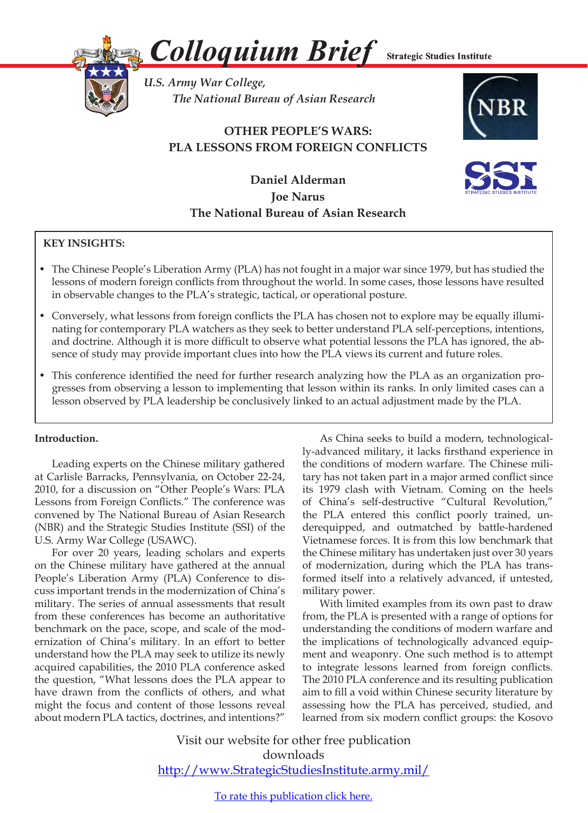

*Colloquium Brief*

**Strategic Studies Institute** 

*U.S. Army War College, The National Bureau of Asian Research* 

# **OTHER PEOPLE'S WARS: PLA LESSONS FROM FOREIGN CONFLICTS**





**Daniel Alderman Joe Narus The National Bureau of Asian Research**

## **KEY INSIGHTS:**

- The Chinese People's Liberation Army (PLA) has not fought in a major war since 1979, but has studied the lessons of modern foreign conflicts from throughout the world. In some cases, those lessons have resulted in observable changes to the PLA's strategic, tactical, or operational posture.
- • Conversely, what lessons from foreign conflicts the PLA has chosen not to explore may be equally illuminating for contemporary PLA watchers as they seek to better understand PLA self-perceptions, intentions, and doctrine. Although it is more difficult to observe what potential lessons the PLA has ignored, the absence of study may provide important clues into how the PLA views its current and future roles.
- This conference identified the need for further research analyzing how the PLA as an organization progresses from observing a lesson to implementing that lesson within its ranks. In only limited cases can a lesson observed by PLA leadership be conclusively linked to an actual adjustment made by the PLA.

### **Introduction.**

 Leading experts on the Chinese military gathered at Carlisle Barracks, Pennsylvania, on October 22-24, 2010, for a discussion on "Other People's Wars: PLA Lessons from Foreign Conflicts." The conference was convened by The National Bureau of Asian Research (NBR) and the Strategic Studies Institute (SSI) of the U.S. Army War College (USAWC).

For over 20 years, leading scholars and experts on the Chinese military have gathered at the annual People's Liberation Army (PLA) Conference to discuss important trends in the modernization of China's military. The series of annual assessments that result from these conferences has become an authoritative benchmark on the pace, scope, and scale of the modernization of China's military. In an effort to better understand how the PLA may seek to utilize its newly acquired capabilities, the 2010 PLA conference asked the question, "What lessons does the PLA appear to have drawn from the conflicts of others, and what might the focus and content of those lessons reveal about modern PLA tactics, doctrines, and intentions?"

As China seeks to build a modern, technologically-advanced military, it lacks firsthand experience in the conditions of modern warfare. The Chinese military has not taken part in a major armed conflict since its 1979 clash with Vietnam. Coming on the heels of China's self-destructive "Cultural Revolution," the PLA entered this conflict poorly trained, underequipped, and outmatched by battle-hardened Vietnamese forces. It is from this low benchmark that the Chinese military has undertaken just over 30 years of modernization, during which the PLA has transformed itself into a relatively advanced, if untested, military power.

 With limited examples from its own past to draw from, the PLA is presented with a range of options for understanding the conditions of modern warfare and the implications of technologically advanced equipment and weaponry. One such method is to attempt to integrate lessons learned from foreign conflicts. The 2010 PLA conference and its resulting publication aim to fill a void within Chinese security literature by assessing how the PLA has perceived, studied, and learned from six modern conflict groups: the Kosovo

Visit our website for other free publication downloads http://www.StrategicStudiesInstitute.army.mil/

To rate this [publication](http://www.strategicstudiesinstitute.army.mil/pubs/display.cfm?pubID=1062) click here.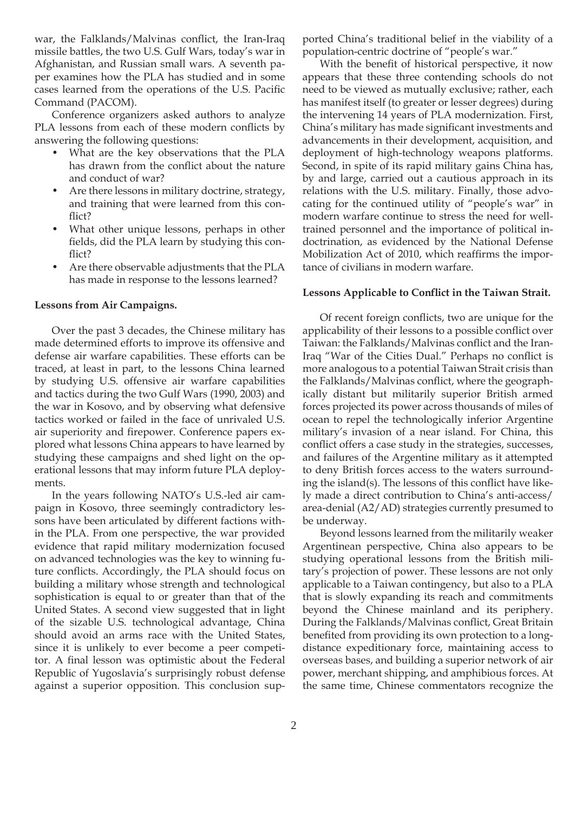war, the Falklands/Malvinas conflict, the Iran-Iraq missile battles, the two U.S. Gulf Wars, today's war in Afghanistan, and Russian small wars. A seventh paper examines how the PLA has studied and in some cases learned from the operations of the U.S. Pacific Command (PACOM).

Conference organizers asked authors to analyze PLA lessons from each of these modern conflicts by answering the following questions:

- What are the key observations that the PLA has drawn from the conflict about the nature and conduct of war?
- Are there lessons in military doctrine, strategy, and training that were learned from this conflict?
- What other unique lessons, perhaps in other fields, did the PLA learn by studying this conflict?
- Are there observable adjustments that the PLA has made in response to the lessons learned?

#### **Lessons from Air Campaigns.**

 Over the past 3 decades, the Chinese military has made determined efforts to improve its offensive and defense air warfare capabilities. These efforts can be traced, at least in part, to the lessons China learned by studying U.S. offensive air warfare capabilities and tactics during the two Gulf Wars (1990, 2003) and the war in Kosovo, and by observing what defensive tactics worked or failed in the face of unrivaled U.S. air superiority and firepower. Conference papers explored what lessons China appears to have learned by studying these campaigns and shed light on the operational lessons that may inform future PLA deployments.

 In the years following NATO's U.S.-led air campaign in Kosovo, three seemingly contradictory lessons have been articulated by different factions within the PLA. From one perspective, the war provided evidence that rapid military modernization focused on advanced technologies was the key to winning future conflicts. Accordingly, the PLA should focus on building a military whose strength and technological sophistication is equal to or greater than that of the United States. A second view suggested that in light of the sizable U.S. technological advantage, China should avoid an arms race with the United States, since it is unlikely to ever become a peer competitor. A final lesson was optimistic about the Federal Republic of Yugoslavia's surprisingly robust defense against a superior opposition. This conclusion supported China's traditional belief in the viability of a population-centric doctrine of "people's war."

 With the benefit of historical perspective, it now appears that these three contending schools do not need to be viewed as mutually exclusive; rather, each has manifest itself (to greater or lesser degrees) during the intervening 14 years of PLA modernization. First, China's military has made significant investments and advancements in their development, acquisition, and deployment of high-technology weapons platforms. Second, in spite of its rapid military gains China has, by and large, carried out a cautious approach in its relations with the U.S. military. Finally, those advocating for the continued utility of "people's war" in modern warfare continue to stress the need for welltrained personnel and the importance of political indoctrination, as evidenced by the National Defense Mobilization Act of 2010, which reaffirms the importance of civilians in modern warfare.

#### **Lessons Applicable to Conflict in the Taiwan Strait.**

Of recent foreign conflicts, two are unique for the applicability of their lessons to a possible conflict over Taiwan: the Falklands/Malvinas conflict and the Iran-Iraq "War of the Cities Dual." Perhaps no conflict is more analogous to a potential Taiwan Strait crisis than the Falklands/Malvinas conflict, where the geographically distant but militarily superior British armed forces projected its power across thousands of miles of ocean to repel the technologically inferior Argentine military's invasion of a near island. For China, this conflict offers a case study in the strategies, successes, and failures of the Argentine military as it attempted to deny British forces access to the waters surrounding the island(s). The lessons of this conflict have likely made a direct contribution to China's anti-access/ area-denial (A2/AD) strategies currently presumed to be underway.

Beyond lessons learned from the militarily weaker Argentinean perspective, China also appears to be studying operational lessons from the British military's projection of power. These lessons are not only applicable to a Taiwan contingency, but also to a PLA that is slowly expanding its reach and commitments beyond the Chinese mainland and its periphery. During the Falklands/Malvinas conflict, Great Britain benefited from providing its own protection to a longdistance expeditionary force, maintaining access to overseas bases, and building a superior network of air power, merchant shipping, and amphibious forces. At the same time, Chinese commentators recognize the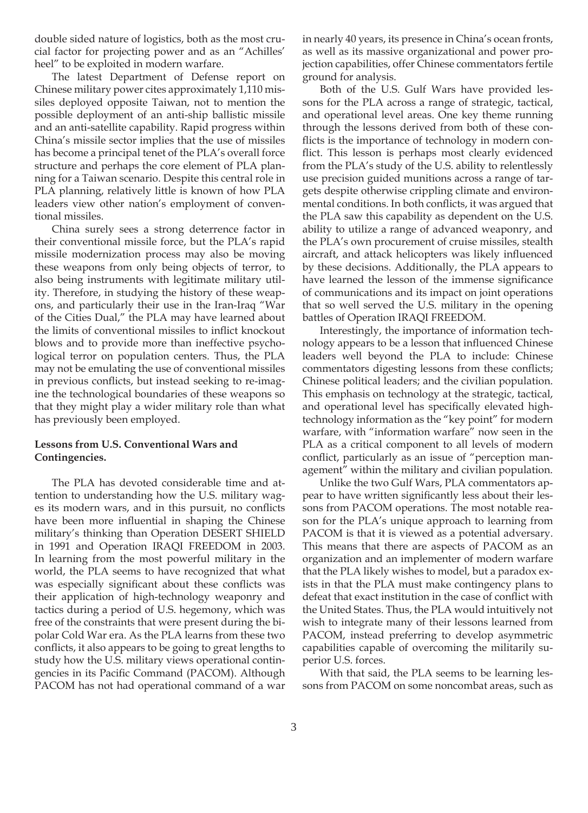double sided nature of logistics, both as the most crucial factor for projecting power and as an "Achilles' heel" to be exploited in modern warfare.

The latest Department of Defense report on Chinese military power cites approximately 1,110 missiles deployed opposite Taiwan, not to mention the possible deployment of an anti-ship ballistic missile and an anti-satellite capability. Rapid progress within China's missile sector implies that the use of missiles has become a principal tenet of the PLA's overall force structure and perhaps the core element of PLA planning for a Taiwan scenario. Despite this central role in PLA planning, relatively little is known of how PLA leaders view other nation's employment of conventional missiles.

China surely sees a strong deterrence factor in their conventional missile force, but the PLA's rapid missile modernization process may also be moving these weapons from only being objects of terror, to also being instruments with legitimate military utility. Therefore, in studying the history of these weapons, and particularly their use in the Iran-Iraq "War of the Cities Dual," the PLA may have learned about the limits of conventional missiles to inflict knockout blows and to provide more than ineffective psychological terror on population centers. Thus, the PLA may not be emulating the use of conventional missiles in previous conflicts, but instead seeking to re-imagine the technological boundaries of these weapons so that they might play a wider military role than what has previously been employed.

#### **Lessons from U.S. Conventional Wars and Contingencies.**

 The PLA has devoted considerable time and attention to understanding how the U.S. military wages its modern wars, and in this pursuit, no conflicts have been more influential in shaping the Chinese military's thinking than Operation DESERT SHIELD in 1991 and Operation IRAQI FREEDOM in 2003. In learning from the most powerful military in the world, the PLA seems to have recognized that what was especially significant about these conflicts was their application of high-technology weaponry and tactics during a period of U.S. hegemony, which was free of the constraints that were present during the bipolar Cold War era. As the PLA learns from these two conflicts, it also appears to be going to great lengths to study how the U.S. military views operational contingencies in its Pacific Command (PACOM). Although PACOM has not had operational command of a war

in nearly 40 years, its presence in China's ocean fronts, as well as its massive organizational and power projection capabilities, offer Chinese commentators fertile ground for analysis.

Both of the U.S. Gulf Wars have provided lessons for the PLA across a range of strategic, tactical, and operational level areas. One key theme running through the lessons derived from both of these conflicts is the importance of technology in modern conflict. This lesson is perhaps most clearly evidenced from the PLA's study of the U.S. ability to relentlessly use precision guided munitions across a range of targets despite otherwise crippling climate and environmental conditions. In both conflicts, it was argued that the PLA saw this capability as dependent on the U.S. ability to utilize a range of advanced weaponry, and the PLA's own procurement of cruise missiles, stealth aircraft, and attack helicopters was likely influenced by these decisions. Additionally, the PLA appears to have learned the lesson of the immense significance of communications and its impact on joint operations that so well served the U.S. military in the opening battles of Operation IRAQI FREEDOM.

Interestingly, the importance of information technology appears to be a lesson that influenced Chinese leaders well beyond the PLA to include: Chinese commentators digesting lessons from these conflicts; Chinese political leaders; and the civilian population. This emphasis on technology at the strategic, tactical, and operational level has specifically elevated hightechnology information as the "key point" for modern warfare, with "information warfare" now seen in the PLA as a critical component to all levels of modern conflict, particularly as an issue of "perception management" within the military and civilian population.

Unlike the two Gulf Wars, PLA commentators appear to have written significantly less about their lessons from PACOM operations. The most notable reason for the PLA's unique approach to learning from PACOM is that it is viewed as a potential adversary. This means that there are aspects of PACOM as an organization and an implementer of modern warfare that the PLA likely wishes to model, but a paradox exists in that the PLA must make contingency plans to defeat that exact institution in the case of conflict with the United States. Thus, the PLA would intuitively not wish to integrate many of their lessons learned from PACOM, instead preferring to develop asymmetric capabilities capable of overcoming the militarily superior U.S. forces.

With that said, the PLA seems to be learning lessons from PACOM on some noncombat areas, such as